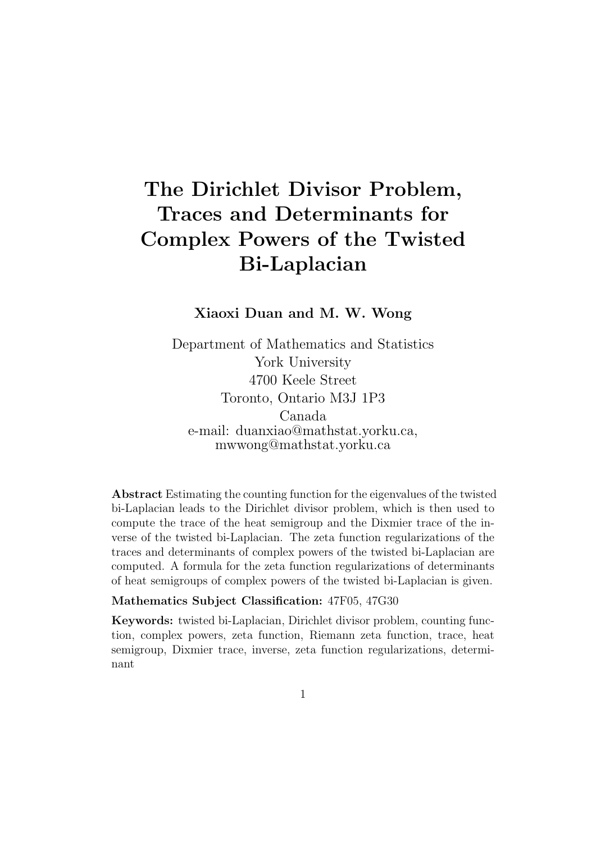# The Dirichlet Divisor Problem, Traces and Determinants for Complex Powers of the Twisted Bi-Laplacian

Xiaoxi Duan and M. W. Wong

Department of Mathematics and Statistics York University 4700 Keele Street Toronto, Ontario M3J 1P3 Canada e-mail: duanxiao@mathstat.yorku.ca, mwwong@mathstat.yorku.ca

Abstract Estimating the counting function for the eigenvalues of the twisted bi-Laplacian leads to the Dirichlet divisor problem, which is then used to compute the trace of the heat semigroup and the Dixmier trace of the inverse of the twisted bi-Laplacian. The zeta function regularizations of the traces and determinants of complex powers of the twisted bi-Laplacian are computed. A formula for the zeta function regularizations of determinants of heat semigroups of complex powers of the twisted bi-Laplacian is given.

#### Mathematics Subject Classification: 47F05, 47G30

Keywords: twisted bi-Laplacian, Dirichlet divisor problem, counting function, complex powers, zeta function, Riemann zeta function, trace, heat semigroup, Dixmier trace, inverse, zeta function regularizations, determinant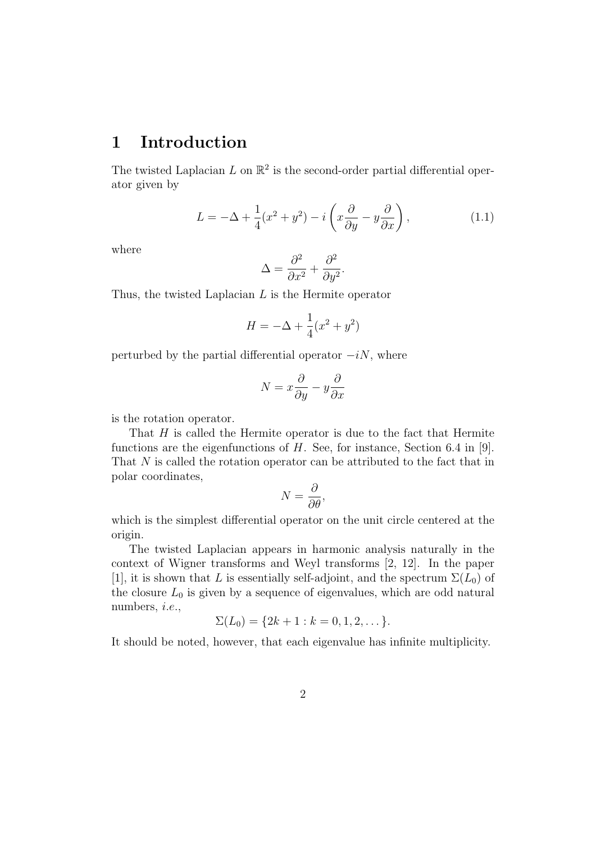### 1 Introduction

The twisted Laplacian  $L$  on  $\mathbb{R}^2$  is the second-order partial differential operator given by

$$
L = -\Delta + \frac{1}{4}(x^2 + y^2) - i\left(x\frac{\partial}{\partial y} - y\frac{\partial}{\partial x}\right),\tag{1.1}
$$

where

$$
\Delta = \frac{\partial^2}{\partial x^2} + \frac{\partial^2}{\partial y^2}.
$$

Thus, the twisted Laplacian L is the Hermite operator

$$
H = -\Delta + \frac{1}{4}(x^2 + y^2)
$$

perturbed by the partial differential operator  $-iN$ , where

$$
N = x\frac{\partial}{\partial y} - y\frac{\partial}{\partial x}
$$

is the rotation operator.

That  $H$  is called the Hermite operator is due to the fact that Hermite functions are the eigenfunctions of  $H$ . See, for instance, Section 6.4 in [9]. That N is called the rotation operator can be attributed to the fact that in polar coordinates,

$$
N = \frac{\partial}{\partial \theta},
$$

which is the simplest differential operator on the unit circle centered at the origin.

The twisted Laplacian appears in harmonic analysis naturally in the context of Wigner transforms and Weyl transforms [2, 12]. In the paper [1], it is shown that L is essentially self-adjoint, and the spectrum  $\Sigma(L_0)$  of the closure  $L_0$  is given by a sequence of eigenvalues, which are odd natural numbers, i.e.,

$$
\Sigma(L_0) = \{2k + 1 : k = 0, 1, 2, \dots\}.
$$

It should be noted, however, that each eigenvalue has infinite multiplicity.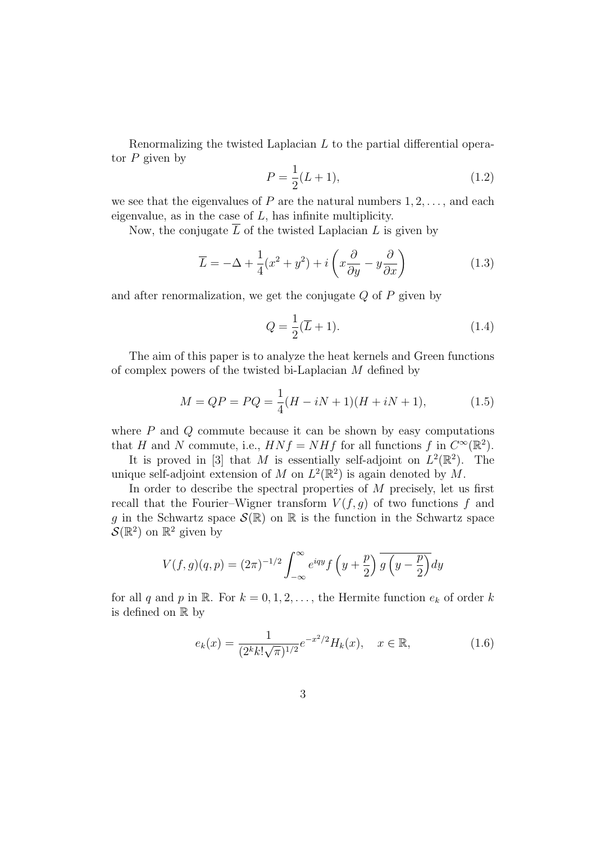Renormalizing the twisted Laplacian L to the partial differential operator  $P$  given by

$$
P = \frac{1}{2}(L+1),
$$
\n(1.2)

we see that the eigenvalues of  $P$  are the natural numbers  $1, 2, \ldots$ , and each eigenvalue, as in the case of  $L$ , has infinite multiplicity.

Now, the conjugate  $\overline{L}$  of the twisted Laplacian L is given by

$$
\overline{L} = -\Delta + \frac{1}{4}(x^2 + y^2) + i\left(x\frac{\partial}{\partial y} - y\frac{\partial}{\partial x}\right)
$$
(1.3)

and after renormalization, we get the conjugate  $Q$  of  $P$  given by

$$
Q = \frac{1}{2}(\overline{L} + 1). \tag{1.4}
$$

The aim of this paper is to analyze the heat kernels and Green functions of complex powers of the twisted bi-Laplacian M defined by

$$
M = QP = PQ = \frac{1}{4}(H - iN + 1)(H + iN + 1),
$$
\n(1.5)

where  $P$  and  $Q$  commute because it can be shown by easy computations that H and N commute, i.e.,  $H N f = N H f$  for all functions f in  $C^{\infty}(\mathbb{R}^2)$ .

It is proved in [3] that M is essentially self-adjoint on  $L^2(\mathbb{R}^2)$ . The unique self-adjoint extension of M on  $L^2(\mathbb{R}^2)$  is again denoted by M.

In order to describe the spectral properties of  $M$  precisely, let us first recall that the Fourier–Wigner transform  $V(f, g)$  of two functions f and g in the Schwartz space  $\mathcal{S}(\mathbb{R})$  on  $\mathbb R$  is the function in the Schwartz space  $\mathcal{S}(\mathbb{R}^2)$  on  $\mathbb{R}^2$  given by

$$
V(f,g)(q,p) = (2\pi)^{-1/2} \int_{-\infty}^{\infty} e^{iqy} f\left(y + \frac{p}{2}\right) \overline{g\left(y - \frac{p}{2}\right)} dy
$$

for all q and p in R. For  $k = 0, 1, 2, \ldots$ , the Hermite function  $e_k$  of order k is defined on R by

$$
e_k(x) = \frac{1}{(2^k k! \sqrt{\pi})^{1/2}} e^{-x^2/2} H_k(x), \quad x \in \mathbb{R},
$$
 (1.6)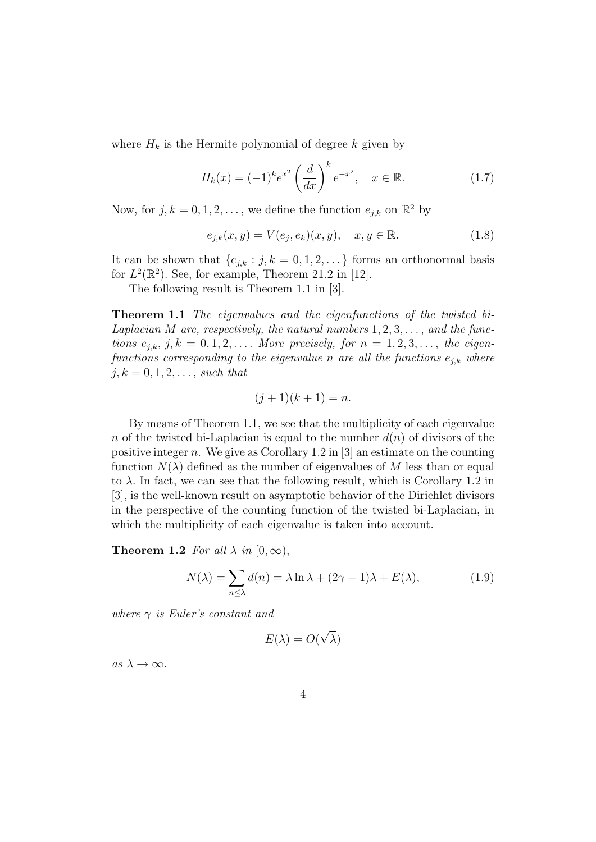where  $H_k$  is the Hermite polynomial of degree k given by

$$
H_k(x) = (-1)^k e^{x^2} \left(\frac{d}{dx}\right)^k e^{-x^2}, \quad x \in \mathbb{R}.
$$
 (1.7)

Now, for  $j, k = 0, 1, 2, \ldots$ , we define the function  $e_{j,k}$  on  $\mathbb{R}^2$  by

$$
e_{j,k}(x,y) = V(e_j, e_k)(x,y), \quad x, y \in \mathbb{R}.
$$
 (1.8)

It can be shown that  $\{e_{j,k} : j, k = 0, 1, 2, \ldots\}$  forms an orthonormal basis for  $L^2(\mathbb{R}^2)$ . See, for example, Theorem 21.2 in [12].

The following result is Theorem 1.1 in [3].

Theorem 1.1 The eigenvalues and the eigenfunctions of the twisted bi-Laplacian M are, respectively, the natural numbers  $1, 2, 3, \ldots$ , and the functions  $e_{i,k}$ ,  $j, k = 0, 1, 2, \ldots$ . More precisely, for  $n = 1, 2, 3, \ldots$ , the eigenfunctions corresponding to the eigenvalue n are all the functions  $e_{j,k}$  where  $j, k = 0, 1, 2, \ldots$ , such that

$$
(j+1)(k+1) = n.
$$

By means of Theorem 1.1, we see that the multiplicity of each eigenvalue n of the twisted bi-Laplacian is equal to the number  $d(n)$  of divisors of the positive integer n. We give as Corollary 1.2 in  $[3]$  an estimate on the counting function  $N(\lambda)$  defined as the number of eigenvalues of M less than or equal to  $\lambda$ . In fact, we can see that the following result, which is Corollary 1.2 in [3], is the well-known result on asymptotic behavior of the Dirichlet divisors in the perspective of the counting function of the twisted bi-Laplacian, in which the multiplicity of each eigenvalue is taken into account.

**Theorem 1.2** For all  $\lambda$  in [0,  $\infty$ ),

$$
N(\lambda) = \sum_{n \le \lambda} d(n) = \lambda \ln \lambda + (2\gamma - 1)\lambda + E(\lambda), \tag{1.9}
$$

where  $\gamma$  is Euler's constant and

$$
E(\lambda) = O(\sqrt{\lambda})
$$

as  $\lambda \to \infty$ .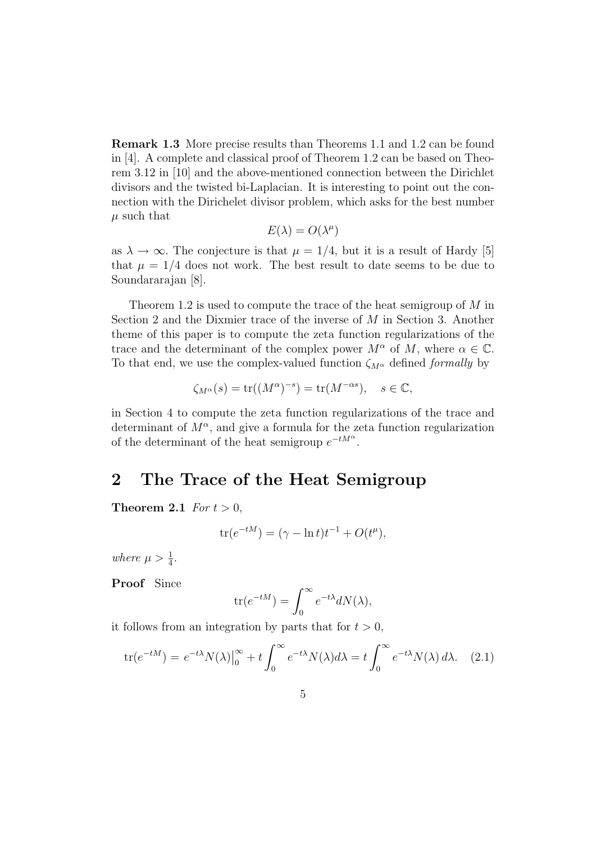Remark 1.3 More precise results than Theorems 1.1 and 1.2 can be found in [4]. A complete and classical proof of Theorem 1.2 can be based on Theorem 3.12 in [10] and the above-mentioned connection between the Dirichlet divisors and the twisted bi-Laplacian. It is interesting to point out the connection with the Dirichelet divisor problem, which asks for the best number  $\mu$  such that

$$
E(\lambda)=O(\lambda^\mu)
$$

as  $\lambda \to \infty$ . The conjecture is that  $\mu = 1/4$ , but it is a result of Hardy [5] that  $\mu = 1/4$  does not work. The best result to date seems to be due to Soundararajan [8].

Theorem 1.2 is used to compute the trace of the heat semigroup of M in Section 2 and the Dixmier trace of the inverse of M in Section 3. Another theme of this paper is to compute the zeta function regularizations of the trace and the determinant of the complex power  $M^{\alpha}$  of M, where  $\alpha \in \mathbb{C}$ . To that end, we use the complex-valued function  $\zeta_{M^{\alpha}}$  defined *formally* by

$$
\zeta_{M^{\alpha}}(s) = \text{tr}((M^{\alpha})^{-s}) = \text{tr}(M^{-\alpha s}), \quad s \in \mathbb{C},
$$

in Section 4 to compute the zeta function regularizations of the trace and determinant of  $M^{\alpha}$ , and give a formula for the zeta function regularization of the determinant of the heat semigroup  $e^{-tM^{\alpha}}$ .

#### 2 The Trace of the Heat Semigroup

Theorem 2.1 For  $t > 0$ ,

$$
\operatorname{tr}(e^{-tM}) = (\gamma - \ln t)t^{-1} + O(t^{\mu}),
$$

where  $\mu > \frac{1}{4}$ .

Proof Since

$$
\text{tr}(e^{-tM}) = \int_0^\infty e^{-t\lambda} dN(\lambda),
$$

it follows from an integration by parts that for  $t > 0$ ,

$$
\text{tr}(e^{-tM}) = e^{-t\lambda} N(\lambda) \Big|_0^{\infty} + t \int_0^{\infty} e^{-t\lambda} N(\lambda) d\lambda = t \int_0^{\infty} e^{-t\lambda} N(\lambda) d\lambda. \quad (2.1)
$$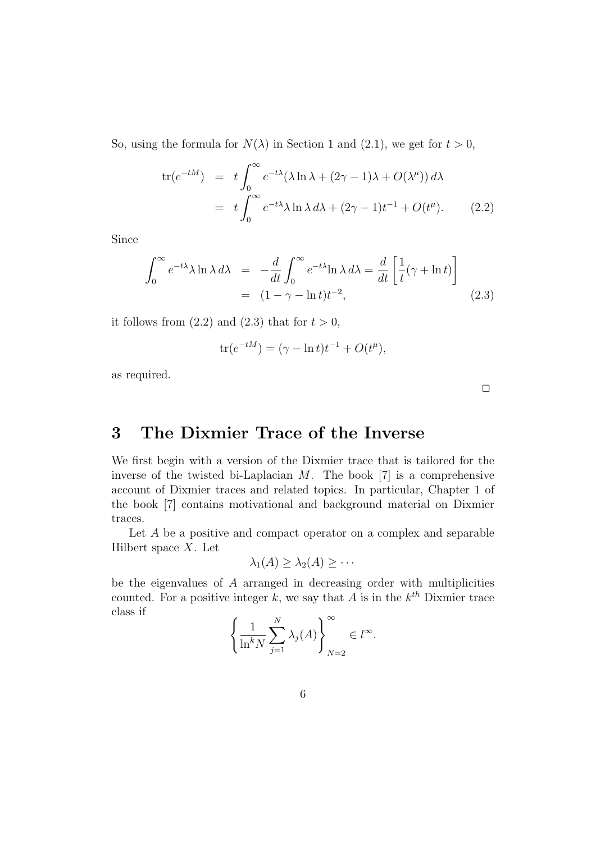So, using the formula for  $N(\lambda)$  in Section 1 and (2.1), we get for  $t > 0$ ,

$$
\text{tr}(e^{-tM}) = t \int_0^\infty e^{-t\lambda} (\lambda \ln \lambda + (2\gamma - 1)\lambda + O(\lambda^{\mu})) d\lambda
$$
  
=  $t \int_0^\infty e^{-t\lambda} \lambda \ln \lambda d\lambda + (2\gamma - 1)t^{-1} + O(t^{\mu}).$  (2.2)

Since

$$
\int_0^\infty e^{-t\lambda} \lambda \ln \lambda \, d\lambda = -\frac{d}{dt} \int_0^\infty e^{-t\lambda} \ln \lambda \, d\lambda = \frac{d}{dt} \left[ \frac{1}{t} (\gamma + \ln t) \right]
$$
\n
$$
= (1 - \gamma - \ln t) t^{-2}, \tag{2.3}
$$

it follows from  $(2.2)$  and  $(2.3)$  that for  $t > 0$ ,

$$
tr(e^{-tM}) = (\gamma - \ln t)t^{-1} + O(t^{\mu}),
$$

as required.

 $\Box$ 

## 3 The Dixmier Trace of the Inverse

We first begin with a version of the Dixmier trace that is tailored for the inverse of the twisted bi-Laplacian  $M$ . The book [7] is a comprehensive account of Dixmier traces and related topics. In particular, Chapter 1 of the book [7] contains motivational and background material on Dixmier traces.

Let A be a positive and compact operator on a complex and separable Hilbert space  $X$ . Let

$$
\lambda_1(A) \geq \lambda_2(A) \geq \cdots
$$

be the eigenvalues of  $A$  arranged in decreasing order with multiplicities counted. For a positive integer k, we say that A is in the  $k^{th}$  Dixmier trace class if )<sup>∞</sup>

$$
\left\{\frac{1}{\ln^k N} \sum_{j=1}^N \lambda_j(A)\right\}_{N=2}^\infty \in l^\infty.
$$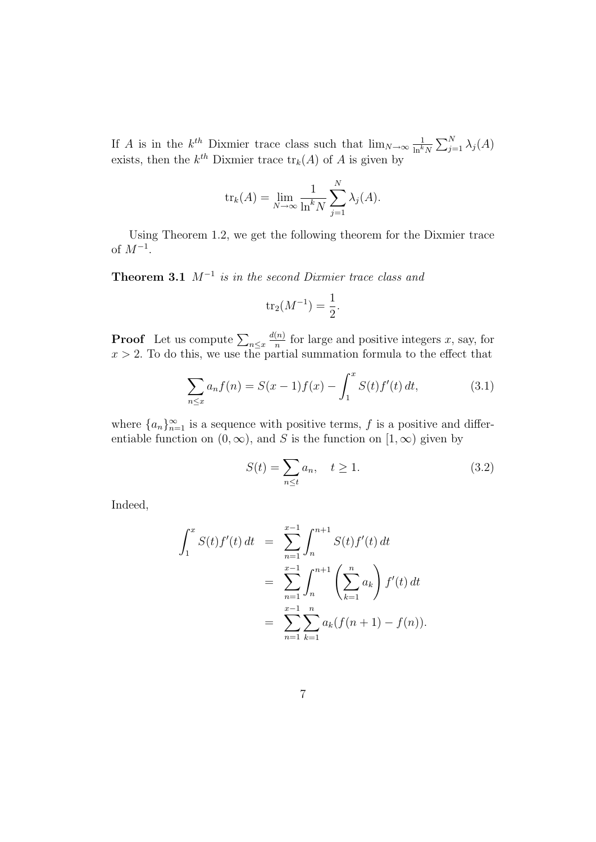If A is in the  $k^{th}$  Dixmier trace class such that  $\lim_{N\to\infty} \frac{1}{\ln k}$  $\frac{1}{\ln^k N} \sum_{j=1}^N \lambda_j(A)$ exists, then the  $k^{th}$  Dixmier trace  $\text{tr}_k(A)$  of A is given by

$$
\text{tr}_k(A) = \lim_{N \to \infty} \frac{1}{\ln^k N} \sum_{j=1}^N \lambda_j(A).
$$

Using Theorem 1.2, we get the following theorem for the Dixmier trace of  $M^{-1}$ .

**Theorem 3.1**  $M^{-1}$  is in the second Dixmier trace class and

$$
tr_2(M^{-1}) = \frac{1}{2}.
$$

**Proof** Let us compute  $\sum_{n \leq x} \frac{d(n)}{n}$  $\frac{(n)}{n}$  for large and positive integers x, say, for  $x > 2$ . To do this, we use the partial summation formula to the effect that

$$
\sum_{n \le x} a_n f(n) = S(x-1)f(x) - \int_1^x S(t)f'(t) dt,
$$
\n(3.1)

where  ${a_n}_{n=1}^{\infty}$  is a sequence with positive terms, f is a positive and differentiable function on  $(0, \infty)$ , and S is the function on  $[1, \infty)$  given by

$$
S(t) = \sum_{n \le t} a_n, \quad t \ge 1. \tag{3.2}
$$

Indeed,

$$
\int_{1}^{x} S(t)f'(t) dt = \sum_{n=1}^{x-1} \int_{n}^{n+1} S(t)f'(t) dt
$$
  
= 
$$
\sum_{n=1}^{x-1} \int_{n}^{n+1} \left(\sum_{k=1}^{n} a_k\right) f'(t) dt
$$
  
= 
$$
\sum_{n=1}^{x-1} \sum_{k=1}^{n} a_k (f(n+1) - f(n)).
$$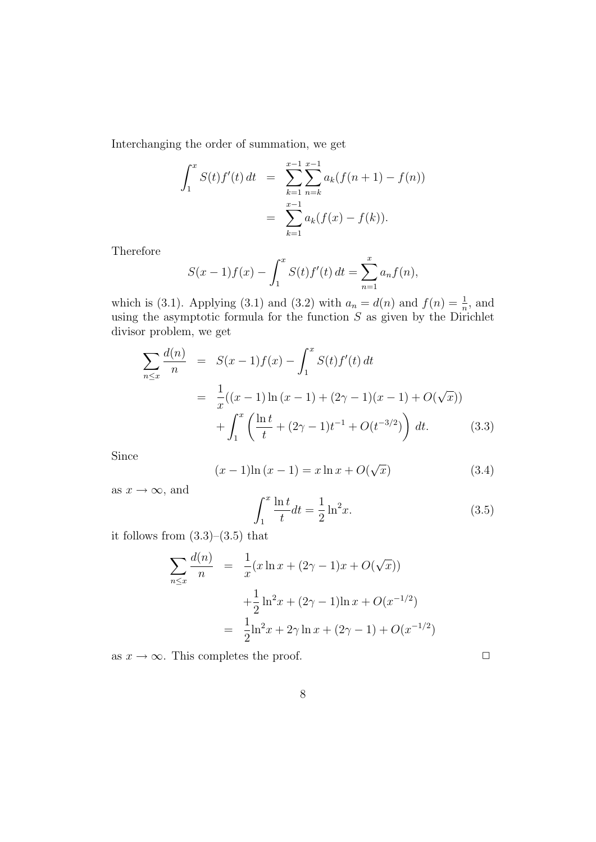Interchanging the order of summation, we get

$$
\int_{1}^{x} S(t)f'(t) dt = \sum_{k=1}^{x-1} \sum_{n=k}^{x-1} a_k(f(n+1) - f(n))
$$
  
= 
$$
\sum_{k=1}^{x-1} a_k(f(x) - f(k)).
$$

Therefore

$$
S(x-1)f(x) - \int_1^x S(t)f'(t) dt = \sum_{n=1}^x a_n f(n),
$$

which is (3.1). Applying (3.1) and (3.2) with  $a_n = d(n)$  and  $f(n) = \frac{1}{n}$ , and using the asymptotic formula for the function  $S$  as given by the Dirichlet divisor problem, we get

$$
\sum_{n \le x} \frac{d(n)}{n} = S(x-1)f(x) - \int_1^x S(t)f'(t) dt
$$
  
= 
$$
\frac{1}{x}((x-1)\ln(x-1) + (2\gamma - 1)(x-1) + O(\sqrt{x}))
$$
  
+ 
$$
\int_1^x \left(\frac{\ln t}{t} + (2\gamma - 1)t^{-1} + O(t^{-3/2})\right) dt.
$$
 (3.3)

Since

$$
(x-1)\ln(x-1) = x \ln x + O(\sqrt{x})
$$
 (3.4)

as  $x \to \infty$ , and

$$
\int_{1}^{x} \frac{\ln t}{t} dt = \frac{1}{2} \ln^{2} x.
$$
\n(3.5)

it follows from (3.3)–(3.5) that

$$
\sum_{n \le x} \frac{d(n)}{n} = \frac{1}{x} (x \ln x + (2\gamma - 1)x + O(\sqrt{x}))
$$

$$
+ \frac{1}{2} \ln^2 x + (2\gamma - 1) \ln x + O(x^{-1/2})
$$

$$
= \frac{1}{2} \ln^2 x + 2\gamma \ln x + (2\gamma - 1) + O(x^{-1/2})
$$

as  $x \to \infty$ . This completes the proof.  $\Box$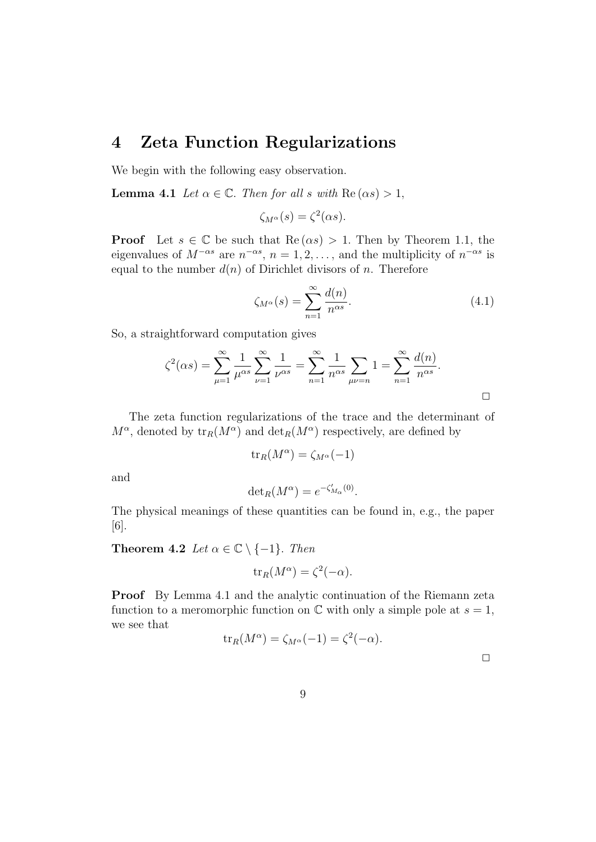#### 4 Zeta Function Regularizations

We begin with the following easy observation.

**Lemma 4.1** Let  $\alpha \in \mathbb{C}$ . Then for all s with  $\text{Re}(\alpha s) > 1$ ,

$$
\zeta_{M^{\alpha}}(s) = \zeta^2(\alpha s).
$$

**Proof** Let  $s \in \mathbb{C}$  be such that  $\text{Re}(\alpha s) > 1$ . Then by Theorem 1.1, the eigenvalues of  $M^{-\alpha s}$  are  $n^{-\alpha s}$ ,  $n = 1, 2, \ldots$ , and the multiplicity of  $n^{-\alpha s}$  is equal to the number  $d(n)$  of Dirichlet divisors of n. Therefore

$$
\zeta_{M^{\alpha}}(s) = \sum_{n=1}^{\infty} \frac{d(n)}{n^{\alpha s}}.
$$
\n(4.1)

So, a straightforward computation gives

$$
\zeta^{2}(\alpha s) = \sum_{\mu=1}^{\infty} \frac{1}{\mu^{\alpha s}} \sum_{\nu=1}^{\infty} \frac{1}{\nu^{\alpha s}} = \sum_{n=1}^{\infty} \frac{1}{n^{\alpha s}} \sum_{\mu\nu=n} 1 = \sum_{n=1}^{\infty} \frac{d(n)}{n^{\alpha s}}.
$$

The zeta function regularizations of the trace and the determinant of  $M^{\alpha}$ , denoted by  $tr_R(M^{\alpha})$  and  $det_R(M^{\alpha})$  respectively, are defined by

$$
\text{tr}_R(M^\alpha) = \zeta_{M^\alpha}(-1)
$$

and

$$
\det_R(M^{\alpha}) = e^{-\zeta'_{M_{\alpha}}(0)}.
$$

The physical meanings of these quantities can be found in, e.g., the paper [6].

Theorem 4.2 Let  $\alpha \in \mathbb{C} \setminus \{-1\}$ . Then

$$
\operatorname{tr}_R(M^{\alpha}) = \zeta^2(-\alpha).
$$

Proof By Lemma 4.1 and the analytic continuation of the Riemann zeta function to a meromorphic function on  $\mathbb C$  with only a simple pole at  $s=1$ , we see that

$$
\operatorname{tr}_R(M^{\alpha}) = \zeta_{M^{\alpha}}(-1) = \zeta^2(-\alpha).
$$

 $\Box$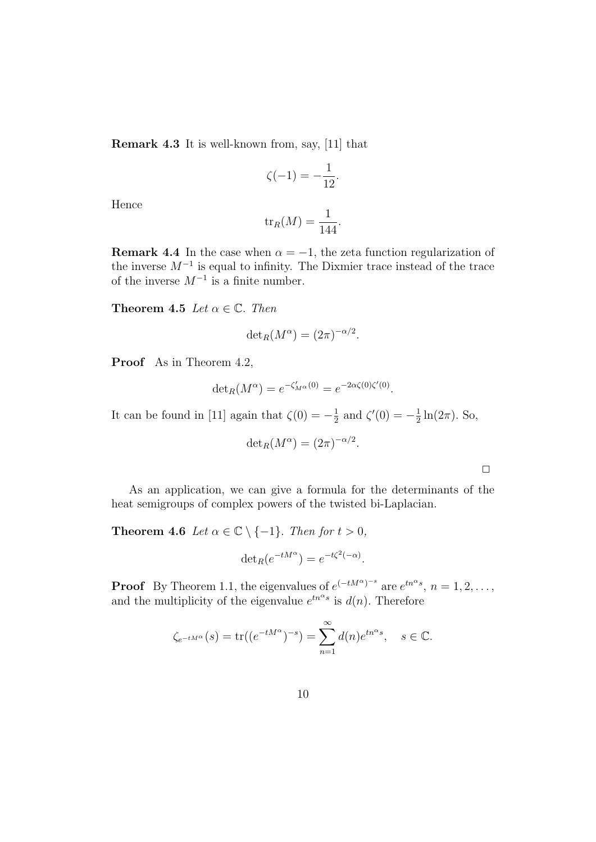Remark 4.3 It is well-known from, say, [11] that

$$
\zeta(-1) = -\frac{1}{12}.
$$

Hence

$$
\operatorname{tr}_R(M) = \frac{1}{144}.
$$

**Remark 4.4** In the case when  $\alpha = -1$ , the zeta function regularization of the inverse  $M^{-1}$  is equal to infinity. The Dixmier trace instead of the trace of the inverse  $M^{-1}$  is a finite number.

**Theorem 4.5** Let  $\alpha \in \mathbb{C}$ . Then

$$
\det_R(M^{\alpha}) = (2\pi)^{-\alpha/2}.
$$

Proof As in Theorem 4.2,

$$
\det_R(M^{\alpha}) = e^{-\zeta'_{M^{\alpha}}(0)} = e^{-2\alpha\zeta(0)\zeta'(0)}.
$$

It can be found in [11] again that  $\zeta(0) = -\frac{1}{2}$  $\frac{1}{2}$  and  $\zeta'(0) = -\frac{1}{2}$  $\frac{1}{2}\ln(2\pi)$ . So,

$$
\det_R(M^{\alpha}) = (2\pi)^{-\alpha/2}.
$$

 $\Box$ 

As an application, we can give a formula for the determinants of the heat semigroups of complex powers of the twisted bi-Laplacian.

**Theorem 4.6** Let  $\alpha \in \mathbb{C} \setminus \{-1\}$ . Then for  $t > 0$ ,

$$
\det_R(e^{-tM^{\alpha}}) = e^{-t\zeta^2(-\alpha)}.
$$

**Proof** By Theorem 1.1, the eigenvalues of  $e^{(-tM^{\alpha})^{-s}}$  are  $e^{tn^{\alpha}s}$ ,  $n = 1, 2, ...,$ and the multiplicity of the eigenvalue  $e^{tn^{\alpha}s}$  is  $d(n)$ . Therefore

$$
\zeta_{e^{-tM^{\alpha}}}(s) = \text{tr}((e^{-tM^{\alpha}})^{-s}) = \sum_{n=1}^{\infty} d(n)e^{tn^{\alpha}s}, \quad s \in \mathbb{C}.
$$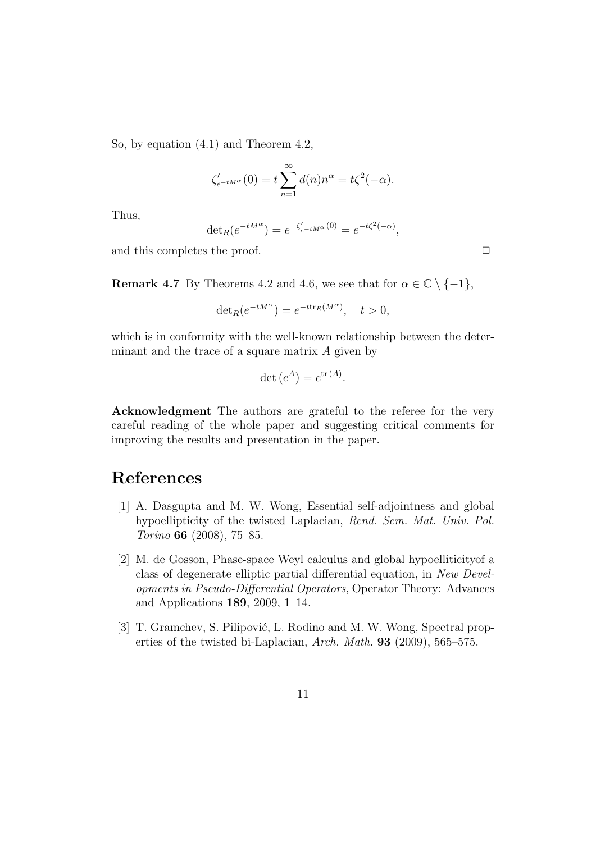So, by equation (4.1) and Theorem 4.2,

$$
\zeta'_{e^{-tM^{\alpha}}}(0) = t \sum_{n=1}^{\infty} d(n) n^{\alpha} = t \zeta^{2}(-\alpha).
$$

Thus,

$$
\det_R(e^{-tM^{\alpha}}) = e^{-\zeta'_{e^{-tM^{\alpha}}}(0)} = e^{-t\zeta^{2}(-\alpha)},
$$

and this completes the proof.  $\Box$ 

**Remark 4.7** By Theorems 4.2 and 4.6, we see that for  $\alpha \in \mathbb{C} \setminus \{-1\}$ ,

$$
\det_R(e^{-tM^{\alpha}}) = e^{-t \text{tr}_R(M^{\alpha})}, \quad t > 0,
$$

which is in conformity with the well-known relationship between the determinant and the trace of a square matrix  $A$  given by

$$
\det(e^A) = e^{\text{tr}(A)}.
$$

Acknowledgment The authors are grateful to the referee for the very careful reading of the whole paper and suggesting critical comments for improving the results and presentation in the paper.

# References

- [1] A. Dasgupta and M. W. Wong, Essential self-adjointness and global hypoellipticity of the twisted Laplacian, Rend. Sem. Mat. Univ. Pol. Torino 66 (2008), 75–85.
- [2] M. de Gosson, Phase-space Weyl calculus and global hypoelliticityof a class of degenerate elliptic partial differential equation, in New Developments in Pseudo-Differential Operators, Operator Theory: Advances and Applications 189, 2009, 1–14.
- [3] T. Gramchev, S. Pilipović, L. Rodino and M. W. Wong, Spectral properties of the twisted bi-Laplacian, Arch. Math. 93 (2009), 565–575.